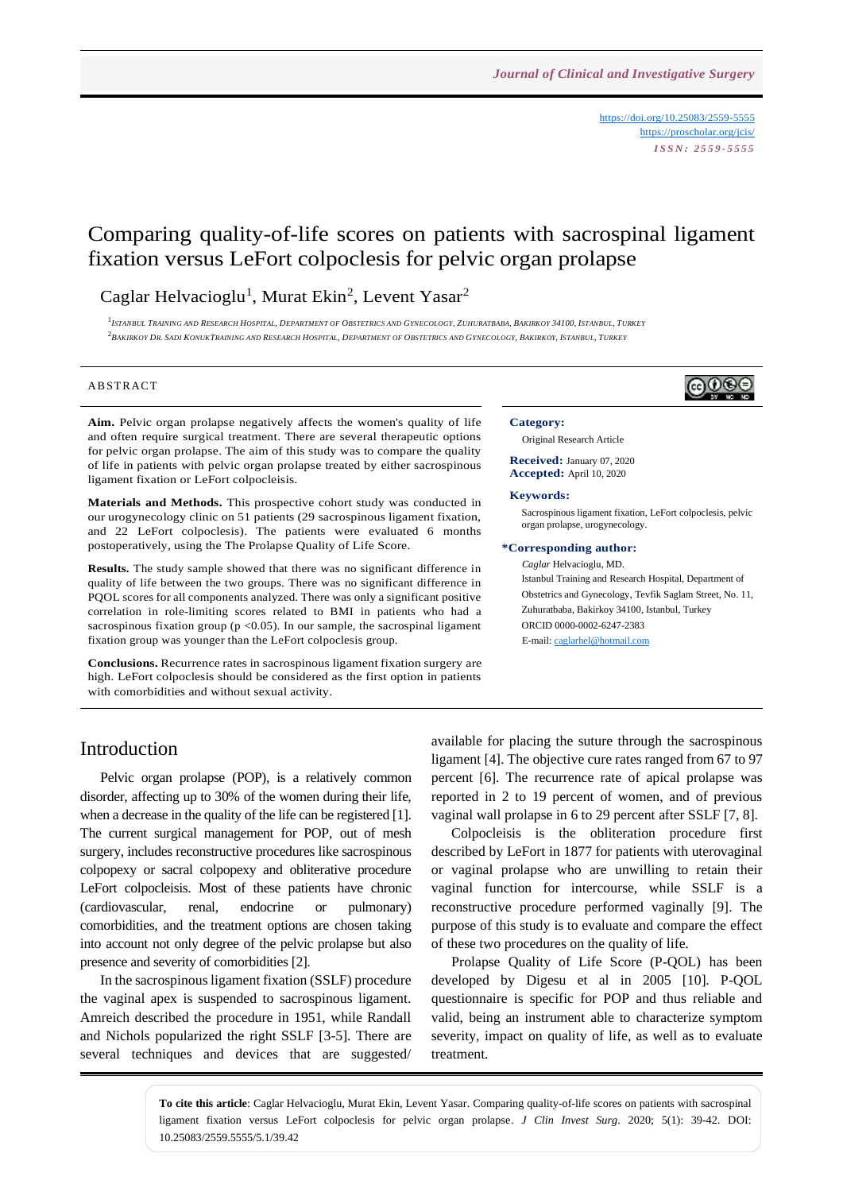<https://doi.org/10.25083/2559-5555> <https://proscholar.org/jcis/> *I S S N : 2 5 5 9 - 5 5 5 5*

ெ⊛⊜

# Comparing quality-of-life scores on patients with sacrospinal ligament fixation versus LeFort colpoclesis for pelvic organ prolapse

Caglar Helvacioglu<sup>1</sup>, Murat Ekin<sup>2</sup>, Levent Yasar<sup>2</sup>

1<br>I Istanbul Training and Research Hospital, Department of Obstetrics and Gynecology, Zuhuratbaba, Bakirkoy 34100, Istanbul, Turkey .<br>PBAKIRKOY DR. SADI KONUKTRAINING AND RESEARCH HOSPITAL, DEPARTMENT OF OBSTETRICS AND GYNECOLOGY, BAKIRKOY, ISTANBUL, TURKEY

#### **ABSTRACT**

**Aim.** Pelvic organ prolapse negatively affects the women's quality of life and often require surgical treatment. There are several therapeutic options for pelvic organ prolapse. The aim of this study was to compare the quality of life in patients with pelvic organ prolapse treated by either sacrospinous ligament fixation or LeFort colpocleisis.

**Materials and Methods.** This prospective cohort study was conducted in our urogynecology clinic on 51 patients (29 sacrospinous ligament fixation, and 22 LeFort colpoclesis). The patients were evaluated 6 months postoperatively, using the The Prolapse Quality of Life Score.

**Results.** The study sample showed that there was no significant difference in quality of life between the two groups. There was no significant difference in PQOL scores for all components analyzed. There was only a significant positive correlation in role-limiting scores related to BMI in patients who had a sacrospinous fixation group ( $p$  <0.05). In our sample, the sacrospinal ligament fixation group was younger than the LeFort colpoclesis group.

**Conclusions.** Recurrence rates in sacrospinous ligament fixation surgery are high. LeFort colpoclesis should be considered as the first option in patients with comorbidities and without sexual activity.

#### **Category:**

Original Research Article

**Received:** January 07, 2020 **Accepted:** April 10, 2020

#### **Keywords:**

Sacrospinous ligament fixation, LeFort colpoclesis, pelvic organ prolapse, urogynecology.

#### **\*Corresponding author:**

*Caglar* Helvacioglu, MD. Istanbul Training and Research Hospital, Department of Obstetrics and Gynecology, Tevfik Saglam Street, No. 11, Zuhuratbaba, Bakirkoy 34100, Istanbul, Turkey ORCID 0000-0002-6247-2383 E-mail[: caglarhel@hotmail.com](mailto:caglarhel@hotmail.com)

## Introduction

Pelvic organ prolapse (POP), is a relatively common disorder, affecting up to 30% of the women during their life, when a decrease in the quality of the life can be registered [1]. The current surgical management for POP, out of mesh surgery, includes reconstructive procedures like sacrospinous colpopexy or sacral colpopexy and obliterative procedure LeFort colpocleisis. Most of these patients have chronic (cardiovascular, renal, endocrine or pulmonary) comorbidities, and the treatment options are chosen taking into account not only degree of the pelvic prolapse but also presence and severity of comorbidities [2].

In the sacrospinous ligament fixation (SSLF) procedure the vaginal apex is suspended to sacrospinous ligament. Amreich described the procedure in 1951, while Randall and Nichols popularized the right SSLF [3-5]. There are several techniques and devices that are suggested/ available for placing the suture through the sacrospinous ligament [4]. The objective cure rates ranged from 67 to 97 percent [6]. The recurrence rate of apical prolapse was reported in 2 to 19 percent of women, and of previous vaginal wall prolapse in 6 to 29 percent after SSLF [7, 8].

Colpocleisis is the obliteration procedure first described by LeFort in 1877 for patients with uterovaginal or vaginal prolapse who are unwilling to retain their vaginal function for intercourse, while SSLF is a reconstructive procedure performed vaginally [9]. The purpose of this study is to evaluate and compare the effect of these two procedures on the quality of life.

Prolapse Quality of Life Score (P-QOL) has been developed by Digesu et al in 2005 [10]. P-QOL questionnaire is specific for POP and thus reliable and valid, being an instrument able to characterize symptom severity, impact on quality of life, as well as to evaluate treatment.

**To cite this article**: Caglar Helvacioglu, Murat Ekin, Levent Yasar. Comparing quality-of-life scores on patients with sacrospinal ligament fixation versus LeFort colpoclesis for pelvic organ prolapse. *J Clin Invest Surg*. 2020; 5(1): 39-42. DOI: 10.25083/2559.5555/5.1/39.42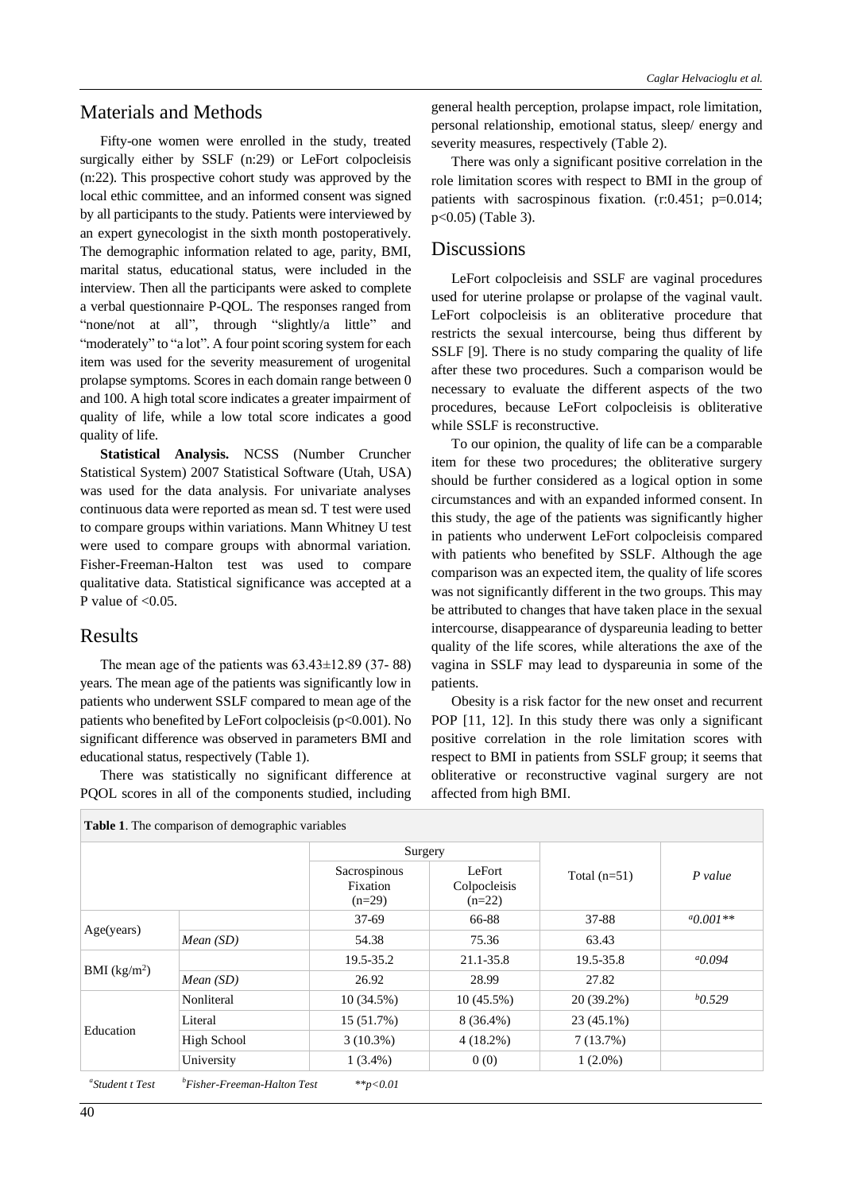## Materials and Methods

Fifty-one women were enrolled in the study, treated surgically either by SSLF (n:29) or LeFort colpocleisis (n:22). This prospective cohort study was approved by the local ethic committee, and an informed consent was signed by all participants to the study. Patients were interviewed by an expert gynecologist in the sixth month postoperatively. The demographic information related to age, parity, BMI, marital status, educational status, were included in the interview. Then all the participants were asked to complete a verbal questionnaire P-QOL. The responses ranged from "none/not at all", through "slightly/a little" and "moderately" to "a lot". A four point scoring system for each item was used for the severity measurement of urogenital prolapse symptoms. Scores in each domain range between 0 and 100. A high total score indicates a greater impairment of quality of life, while a low total score indicates a good quality of life.

**Statistical Analysis.** NCSS (Number Cruncher Statistical System) 2007 Statistical Software (Utah, USA) was used for the data analysis. For univariate analyses continuous data were reported as mean sd. T test were used to compare groups within variations. Mann Whitney U test were used to compare groups with abnormal variation. Fisher-Freeman-Halton test was used to compare qualitative data. Statistical significance was accepted at a P value of  $<0.05$ .

## Results

The mean age of the patients was  $63.43\pm12.89$  (37-88) years. The mean age of the patients was significantly low in patients who underwent SSLF compared to mean age of the patients who benefited by LeFort colpocleisis (p<0.001). No significant difference was observed in parameters BMI and educational status, respectively (Table 1).

There was statistically no significant difference at PQOL scores in all of the components studied, including general health perception, prolapse impact, role limitation, personal relationship, emotional status, sleep/ energy and severity measures, respectively (Table 2).

There was only a significant positive correlation in the role limitation scores with respect to BMI in the group of patients with sacrospinous fixation. (r:0.451; p=0.014; p<0.05) (Table 3).

### Discussions

LeFort colpocleisis and SSLF are vaginal procedures used for uterine prolapse or prolapse of the vaginal vault. LeFort colpocleisis is an obliterative procedure that restricts the sexual intercourse, being thus different by SSLF [9]. There is no study comparing the quality of life after these two procedures. Such a comparison would be necessary to evaluate the different aspects of the two procedures, because LeFort colpocleisis is obliterative while SSLF is reconstructive.

To our opinion, the quality of life can be a comparable item for these two procedures; the obliterative surgery should be further considered as a logical option in some circumstances and with an expanded informed consent. In this study, the age of the patients was significantly higher in patients who underwent LeFort colpocleisis compared with patients who benefited by SSLF. Although the age comparison was an expected item, the quality of life scores was not significantly different in the two groups. This may be attributed to changes that have taken place in the sexual intercourse, disappearance of dyspareunia leading to better quality of the life scores, while alterations the axe of the vagina in SSLF may lead to dyspareunia in some of the patients.

Obesity is a risk factor for the new onset and recurrent POP [11, 12]. In this study there was only a significant positive correlation in the role limitation scores with respect to BMI in patients from SSLF group; it seems that obliterative or reconstructive vaginal surgery are not affected from high BMI.

**Table 1**. The comparison of demographic variables

|               |             | Surgery                              |                                    |                |               |
|---------------|-------------|--------------------------------------|------------------------------------|----------------|---------------|
|               |             | Sacrospinous<br>Fixation<br>$(n=29)$ | LeFort<br>Colpocleisis<br>$(n=22)$ | Total $(n=51)$ | $P$ value     |
| Age(years)    |             | $37-69$                              | 66-88                              | 37-88          | $^{a}0.001**$ |
|               | Mean(SD)    | 54.38                                | 75.36                              | 63.43          |               |
| BMI $(kg/m2)$ |             | 19.5-35.2                            | 21.1-35.8                          | 19.5-35.8      | $^{a}0.094$   |
|               | Mean(SD)    | 26.92                                | 28.99                              | 27.82          |               |
| Education     | Nonliteral  | 10(34.5%)                            | $10(45.5\%)$                       | 20 (39.2%)     | b0.529        |
|               | Literal     | 15(51.7%)                            | 8 (36.4%)                          | $23(45.1\%)$   |               |
|               | High School | $3(10.3\%)$                          | $4(18.2\%)$                        | 7(13.7%)       |               |
|               | University  | $1(3.4\%)$                           | 0(0)                               | $1(2.0\%)$     |               |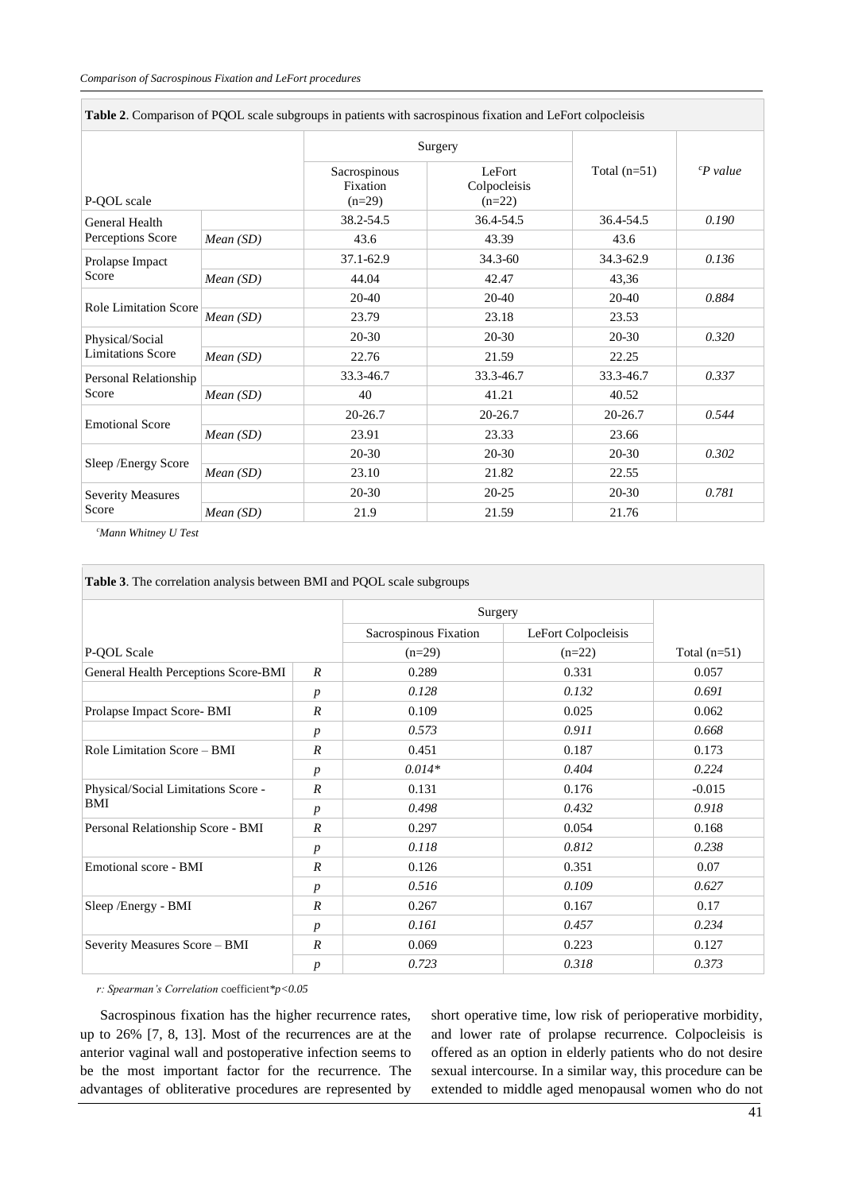|                              |          | <b>Table 2.</b> Comparison of TQOL searc subgroups in patients with sacrospinous fixation and Let oft corpocitists |                                    |                |               |
|------------------------------|----------|--------------------------------------------------------------------------------------------------------------------|------------------------------------|----------------|---------------|
|                              |          |                                                                                                                    | Surgery                            |                |               |
| P-QOL scale                  |          | Sacrospinous<br>Fixation<br>$(n=29)$                                                                               | LeFort<br>Colpocleisis<br>$(n=22)$ | Total $(n=51)$ | ${}^cP$ value |
| General Health               |          | 38.2-54.5                                                                                                          | 36.4-54.5                          | 36.4-54.5      | 0.190         |
| Perceptions Score            | Mean(SD) | 43.6                                                                                                               | 43.39                              | 43.6           |               |
| Prolapse Impact              |          | $37.1 - 62.9$                                                                                                      | 34.3-60                            | 34.3-62.9      | 0.136         |
| Score                        | Mean(SD) | 44.04                                                                                                              | 42.47                              | 43,36          |               |
|                              |          | $20 - 40$                                                                                                          | 20-40                              | 20-40          | 0.884         |
| <b>Role Limitation Score</b> | Mean(SD) | 23.79                                                                                                              | 23.18                              | 23.53          |               |
| Physical/Social              |          | $20 - 30$                                                                                                          | $20 - 30$                          | 20-30          | 0.320         |
| <b>Limitations Score</b>     | Mean(SD) | 22.76                                                                                                              | 21.59                              | 22.25          |               |
| Personal Relationship        |          | 33.3-46.7                                                                                                          | 33.3-46.7                          | 33.3-46.7      | 0.337         |
| Score                        | Mean(SD) | 40                                                                                                                 | 41.21                              | 40.52          |               |
|                              |          | 20-26.7                                                                                                            | 20-26.7                            | 20-26.7        | 0.544         |
| <b>Emotional Score</b>       | Mean(SD) | 23.91                                                                                                              | 23.33                              | 23.66          |               |
|                              |          | $20 - 30$                                                                                                          | 20-30                              | 20-30          | 0.302         |
| Sleep / Energy Score         | Mean(SD) | 23.10                                                                                                              | 21.82                              | 22.55          |               |
| <b>Severity Measures</b>     |          | $20 - 30$                                                                                                          | $20 - 25$                          | $20 - 30$      | 0.781         |
| Score                        | Mean(SD) | 21.9                                                                                                               | 21.59                              | 21.76          |               |

**Table 2**. Comparison of PQOL scale subgroups in patients with sacrospinous fixation and LeFort colpocleisis

*<sup>c</sup>Mann Whitney U Test*

| Table 3. The correlation analysis between BMI and PQOL scale subgroups |                  |                       |          |                     |  |  |  |  |
|------------------------------------------------------------------------|------------------|-----------------------|----------|---------------------|--|--|--|--|
|                                                                        |                  | Surgery               |          |                     |  |  |  |  |
|                                                                        |                  | Sacrospinous Fixation |          | LeFort Colpocleisis |  |  |  |  |
| P-QOL Scale                                                            |                  | $(n=29)$              | $(n=22)$ | Total $(n=51)$      |  |  |  |  |
| General Health Perceptions Score-BMI                                   | $\boldsymbol{R}$ | 0.289                 | 0.331    | 0.057               |  |  |  |  |
|                                                                        | $\boldsymbol{p}$ | 0.128                 | 0.132    | 0.691               |  |  |  |  |
| Prolapse Impact Score-BMI                                              | $\boldsymbol{R}$ | 0.109                 | 0.025    | 0.062               |  |  |  |  |
|                                                                        | $\boldsymbol{p}$ | 0.573                 | 0.911    | 0.668               |  |  |  |  |
| Role Limitation Score – BMI                                            | $\boldsymbol{R}$ | 0.451                 | 0.187    | 0.173               |  |  |  |  |
|                                                                        | $\boldsymbol{p}$ | $0.014*$              | 0.404    | 0.224               |  |  |  |  |
| Physical/Social Limitations Score -                                    | $\boldsymbol{R}$ | 0.131                 | 0.176    | $-0.015$            |  |  |  |  |
| BMI                                                                    | $\boldsymbol{p}$ | 0.498                 | 0.432    | 0.918               |  |  |  |  |
| Personal Relationship Score - BMI                                      | $\boldsymbol{R}$ | 0.297                 | 0.054    | 0.168               |  |  |  |  |
|                                                                        | $\boldsymbol{p}$ | 0.118                 | 0.812    | 0.238               |  |  |  |  |
| Emotional score - BMI                                                  | $\boldsymbol{R}$ | 0.126                 | 0.351    | 0.07                |  |  |  |  |
|                                                                        | $\boldsymbol{p}$ | 0.516                 | 0.109    | 0.627               |  |  |  |  |
| Sleep /Energy - BMI                                                    | $\overline{R}$   | 0.267                 | 0.167    | 0.17                |  |  |  |  |
|                                                                        | $\boldsymbol{p}$ | 0.161                 | 0.457    | 0.234               |  |  |  |  |
| Severity Measures Score - BMI                                          | $\boldsymbol{R}$ | 0.069                 | 0.223    | 0.127               |  |  |  |  |
|                                                                        | $\boldsymbol{p}$ | 0.723                 | 0.318    | 0.373               |  |  |  |  |

*r: Spearman's Correlation* coefficient*\*p<0.05*

Sacrospinous fixation has the higher recurrence rates, up to 26% [7, 8, 13]. Most of the recurrences are at the anterior vaginal wall and postoperative infection seems to be the most important factor for the recurrence. The advantages of obliterative procedures are represented by

short operative time, low risk of perioperative morbidity, and lower rate of prolapse recurrence. Colpocleisis is offered as an option in elderly patients who do not desire sexual intercourse. In a similar way, this procedure can be extended to middle aged menopausal women who do not